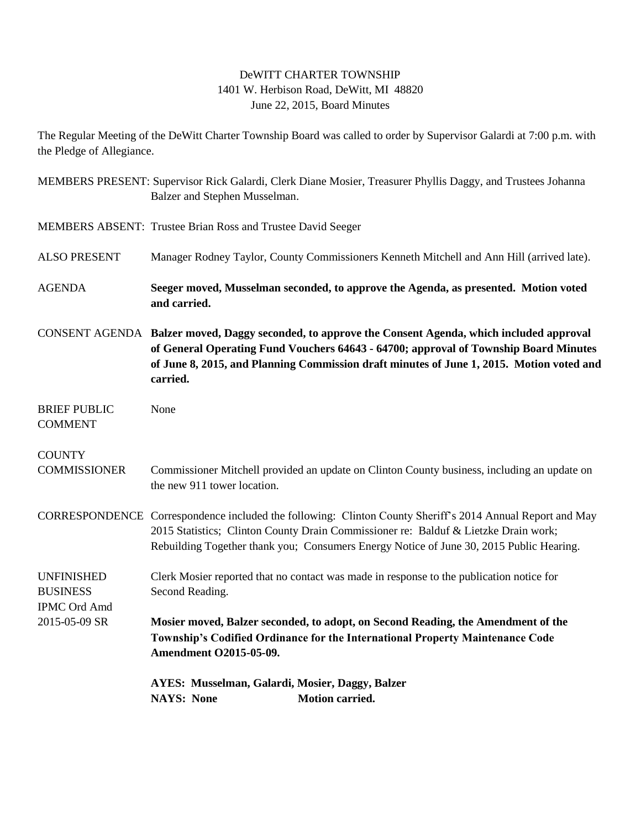## DeWITT CHARTER TOWNSHIP 1401 W. Herbison Road, DeWitt, MI 48820 June 22, 2015, Board Minutes

The Regular Meeting of the DeWitt Charter Township Board was called to order by Supervisor Galardi at 7:00 p.m. with the Pledge of Allegiance.

|                                                             | MEMBERS PRESENT: Supervisor Rick Galardi, Clerk Diane Mosier, Treasurer Phyllis Daggy, and Trustees Johanna<br>Balzer and Stephen Musselman.                                                                                                                                                        |
|-------------------------------------------------------------|-----------------------------------------------------------------------------------------------------------------------------------------------------------------------------------------------------------------------------------------------------------------------------------------------------|
|                                                             | MEMBERS ABSENT: Trustee Brian Ross and Trustee David Seeger                                                                                                                                                                                                                                         |
| <b>ALSO PRESENT</b>                                         | Manager Rodney Taylor, County Commissioners Kenneth Mitchell and Ann Hill (arrived late).                                                                                                                                                                                                           |
| <b>AGENDA</b>                                               | Seeger moved, Musselman seconded, to approve the Agenda, as presented. Motion voted<br>and carried.                                                                                                                                                                                                 |
|                                                             | CONSENT AGENDA Balzer moved, Daggy seconded, to approve the Consent Agenda, which included approval<br>of General Operating Fund Vouchers 64643 - 64700; approval of Township Board Minutes<br>of June 8, 2015, and Planning Commission draft minutes of June 1, 2015. Motion voted and<br>carried. |
| <b>BRIEF PUBLIC</b><br><b>COMMENT</b>                       | None                                                                                                                                                                                                                                                                                                |
| <b>COUNTY</b><br><b>COMMISSIONER</b>                        | Commissioner Mitchell provided an update on Clinton County business, including an update on<br>the new 911 tower location.                                                                                                                                                                          |
|                                                             | CORRESPONDENCE Correspondence included the following: Clinton County Sheriff's 2014 Annual Report and May<br>2015 Statistics; Clinton County Drain Commissioner re: Balduf & Lietzke Drain work;<br>Rebuilding Together thank you; Consumers Energy Notice of June 30, 2015 Public Hearing.         |
| <b>UNFINISHED</b><br><b>BUSINESS</b><br><b>IPMC Ord Amd</b> | Clerk Mosier reported that no contact was made in response to the publication notice for<br>Second Reading.                                                                                                                                                                                         |
| 2015-05-09 SR                                               | Mosier moved, Balzer seconded, to adopt, on Second Reading, the Amendment of the<br>Township's Codified Ordinance for the International Property Maintenance Code<br><b>Amendment O2015-05-09.</b>                                                                                                  |
|                                                             | AYES: Musselman, Galardi, Mosier, Daggy, Balzer<br><b>NAYS: None</b><br>Motion carried.                                                                                                                                                                                                             |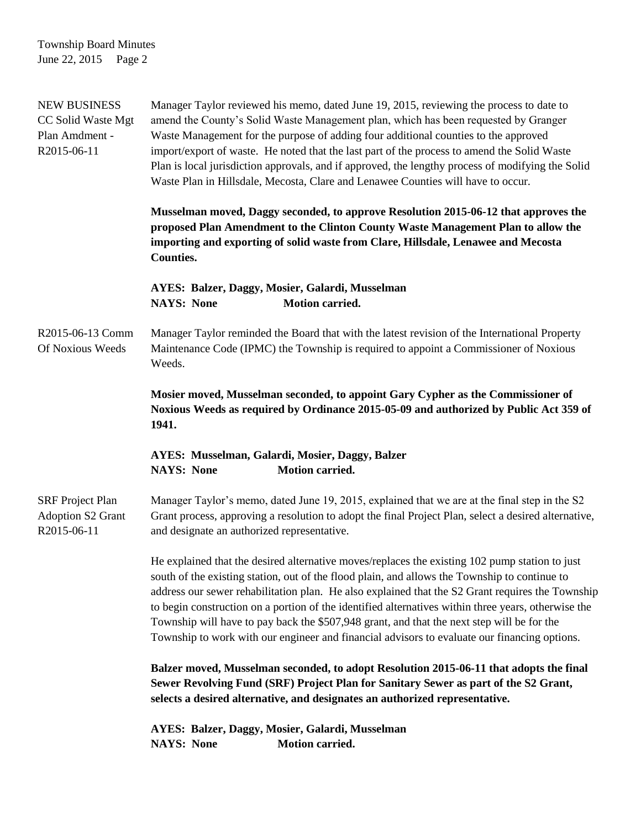Township Board Minutes June 22, 2015 Page 2

| <b>NEW BUSINESS</b><br>CC Solid Waste Mgt<br>Plan Amdment -<br>R2015-06-11 | Manager Taylor reviewed his memo, dated June 19, 2015, reviewing the process to date to<br>amend the County's Solid Waste Management plan, which has been requested by Granger<br>Waste Management for the purpose of adding four additional counties to the approved<br>import/export of waste. He noted that the last part of the process to amend the Solid Waste<br>Plan is local jurisdiction approvals, and if approved, the lengthy process of modifying the Solid<br>Waste Plan in Hillsdale, Mecosta, Clare and Lenawee Counties will have to occur.                                            |
|----------------------------------------------------------------------------|----------------------------------------------------------------------------------------------------------------------------------------------------------------------------------------------------------------------------------------------------------------------------------------------------------------------------------------------------------------------------------------------------------------------------------------------------------------------------------------------------------------------------------------------------------------------------------------------------------|
|                                                                            | Musselman moved, Daggy seconded, to approve Resolution 2015-06-12 that approves the<br>proposed Plan Amendment to the Clinton County Waste Management Plan to allow the<br>importing and exporting of solid waste from Clare, Hillsdale, Lenawee and Mecosta<br><b>Counties.</b>                                                                                                                                                                                                                                                                                                                         |
|                                                                            | AYES: Balzer, Daggy, Mosier, Galardi, Musselman<br><b>Motion carried.</b><br><b>NAYS: None</b>                                                                                                                                                                                                                                                                                                                                                                                                                                                                                                           |
| R2015-06-13 Comm<br>Of Noxious Weeds                                       | Manager Taylor reminded the Board that with the latest revision of the International Property<br>Maintenance Code (IPMC) the Township is required to appoint a Commissioner of Noxious<br>Weeds.                                                                                                                                                                                                                                                                                                                                                                                                         |
|                                                                            | Mosier moved, Musselman seconded, to appoint Gary Cypher as the Commissioner of<br>Noxious Weeds as required by Ordinance 2015-05-09 and authorized by Public Act 359 of<br>1941.                                                                                                                                                                                                                                                                                                                                                                                                                        |
|                                                                            | AYES: Musselman, Galardi, Mosier, Daggy, Balzer<br><b>Motion carried.</b><br><b>NAYS: None</b>                                                                                                                                                                                                                                                                                                                                                                                                                                                                                                           |
| <b>SRF</b> Project Plan<br><b>Adoption S2 Grant</b><br>R2015-06-11         | Manager Taylor's memo, dated June 19, 2015, explained that we are at the final step in the S2<br>Grant process, approving a resolution to adopt the final Project Plan, select a desired alternative,<br>and designate an authorized representative.                                                                                                                                                                                                                                                                                                                                                     |
|                                                                            | He explained that the desired alternative moves/replaces the existing 102 pump station to just<br>south of the existing station, out of the flood plain, and allows the Township to continue to<br>address our sewer rehabilitation plan. He also explained that the S2 Grant requires the Township<br>to begin construction on a portion of the identified alternatives within three years, otherwise the<br>Township will have to pay back the \$507,948 grant, and that the next step will be for the<br>Township to work with our engineer and financial advisors to evaluate our financing options. |
|                                                                            | Balzer moved, Musselman seconded, to adopt Resolution 2015-06-11 that adopts the final<br>Sewer Revolving Fund (SRF) Project Plan for Sanitary Sewer as part of the S2 Grant,<br>selects a desired alternative, and designates an authorized representative.                                                                                                                                                                                                                                                                                                                                             |
|                                                                            | AYES: Balzer, Daggy, Mosier, Galardi, Musselman<br>Motion carried.<br><b>NAYS: None</b>                                                                                                                                                                                                                                                                                                                                                                                                                                                                                                                  |